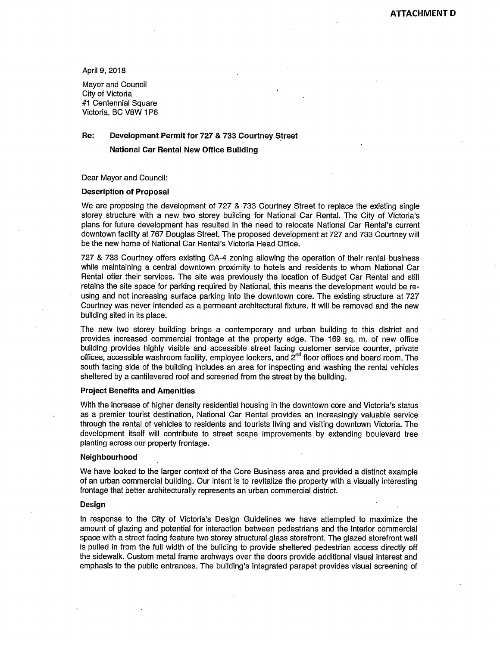April 9, 2018

Mayor and Council City of Victoria #1 Centennial Square Victoria, BC V8W 1P6

# **Re: Development Permit for 727 & 733 Courtney Street**

**National Car Rental New Office Building** 

Dear Mayor and Council:

## **Description of Proposal**

We are proposing the development of 727 & 733 Courtney Street to replace the existing single storey structure with a new two storey building for National Car Rental. The City of Victoria's plans for future development has resulted in the need to relocate National Car Rental's current downtown facility at 767 Douglas Street. The proposed development at 727 and 733 Courtney will be the new home of National Car Rental's Victoria Head Office.

727 & 733 Courtney offers existing GA-4 zoning allowing the operation of their rental business while maintaining a central downtown proximity to hotels and residents to whom National Car Rental offer their services. The site was previously the location of Budget Car Rental and still retains the site space for parking required by National, this means the development would be reusing and not increasing surface parking into the downtown core. The existing structure at 727 Courtney was never intended as a permeant architectural fixture. It will be removed and the new building sited in its place.

The new two storey building brings a contemporary and urban building to this district and provides increased commercial frontage at the property edge. The 169 sq. m. of new office building provides highly visible and accessible street facing customer service counter, private offices, accessible washroom facility, employee lockers, and 2<sup>nd</sup> floor offices and board room. The south facing side of the building includes an area for inspecting and washing the rental vehicles sheltered by a cantilevered roof and screened from the street by the building.

#### **Project Benefits and Amenities**

With the increase of higher density residential housing in the downtown core and Victoria's status as a premier tourist destination, National Car Rental provides an increasingly valuable service through the rental of vehicles to residents and tourists living and visiting downtown Victoria. The development itself will contribute to street scape improvements by extending boulevard tree planting across our property frontage.

### **Neighbourhood**

We have looked to the larger context of the Core Business area and provided a distinct example of an urban commercial building. Our intent is to revitalize the property with a visually interesting frontage that better architecturally represents an urban commercial district.

### **Design**

In response to the City of Victoria's Design Guidelines we have attempted to maximize the amount of glazing and potential for interaction between pedestrians and the interior commercial space with a street facing feature two storey structural glass storefront. The glazed storefront wall is pulled in from the full width of the building to provide sheltered pedestrian access directly off the sidewalk. Custom metal frame archways over the doors provide additional visual interest and emphasis to the public entrances. The building's integrated parapet provides visual screening of